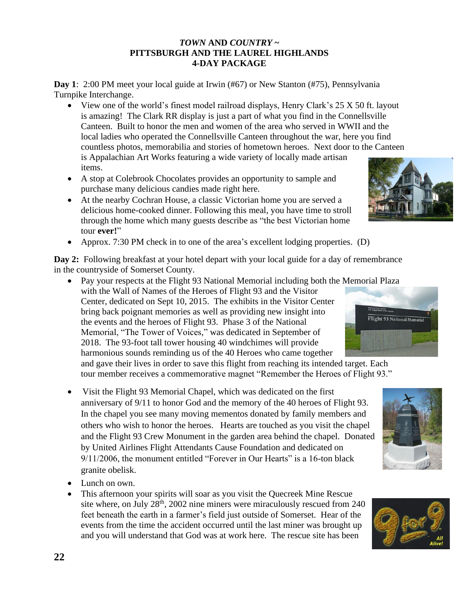## *TOWN* **AND** *COUNTRY* **~ PITTSBURGH AND THE LAUREL HIGHLANDS 4-DAY PACKAGE**

**Day 1**: 2:00 PM meet your local guide at Irwin (#67) or New Stanton (#75), Pennsylvania Turnpike Interchange.

- View one of the world's finest model railroad displays, Henry Clark's 25 X 50 ft. layout is amazing! The Clark RR display is just a part of what you find in the Connellsville Canteen. Built to honor the men and women of the area who served in WWII and the local ladies who operated the Connellsville Canteen throughout the war, here you find countless photos, memorabilia and stories of hometown heroes. Next door to the Canteen is Appalachian Art Works featuring a wide variety of locally made artisan items.
- A stop at Colebrook Chocolates provides an opportunity to sample and purchase many delicious candies made right here.
- At the nearby Cochran House, a classic Victorian home you are served a delicious home-cooked dinner. Following this meal, you have time to stroll through the home which many guests describe as "the best Victorian home tour **ever!**"
- Approx. 7:30 PM check in to one of the area's excellent lodging properties. (D)

**Day 2:** Following breakfast at your hotel depart with your local guide for a day of remembrance in the countryside of Somerset County.

• Pay your respects at the Flight 93 National Memorial including both the Memorial Plaza with the Wall of Names of the Heroes of Flight 93 and the Visitor Center, dedicated on Sept 10, 2015. The exhibits in the Visitor Center bring back poignant memories as well as providing new insight into the events and the heroes of Flight 93. Phase 3 of the National Memorial, "The Tower of Voices," was dedicated in September of 2018. The 93-foot tall tower housing 40 windchimes will provide harmonious sounds reminding us of the 40 Heroes who came together and gave their lives in order to save this flight from reaching its intended target. Each

tour member receives a commemorative magnet "Remember the Heroes of Flight 93."

- Visit the Flight 93 Memorial Chapel, which was dedicated on the first anniversary of 9/11 to honor God and the memory of the 40 heroes of Flight 93. In the chapel you see many moving mementos donated by family members and others who wish to honor the heroes. Hearts are touched as you visit the chapel and the Flight 93 Crew Monument in the garden area behind the chapel. Donated by United Airlines Flight Attendants Cause Foundation and dedicated on 9/11/2006, the monument entitled "Forever in Our Hearts" is a 16-ton black granite obelisk.
- Lunch on own.
- This afternoon your spirits will soar as you visit the Quecreek Mine Rescue site where, on July 28<sup>th</sup>, 2002 nine miners were miraculously rescued from 240 feet beneath the earth in a farmer's field just outside of Somerset. Hear of the events from the time the accident occurred until the last miner was brought up and you will understand that God was at work here. The rescue site has been